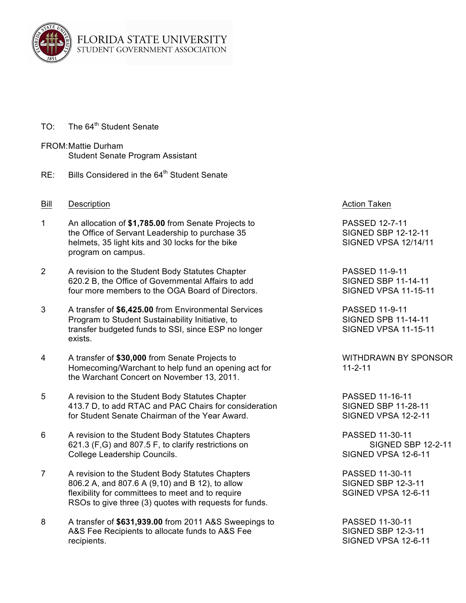

- TO: The 64<sup>th</sup> Student Senate
- FROM:Mattie Durham Student Senate Program Assistant
- RE: Bills Considered in the 64<sup>th</sup> Student Senate
- Bill Description **Action Taken Bill** Description
- 1 An allocation of **\$1,785.00** from Senate Projects to PASSED 12-7-11 the Office of Servant Leadership to purchase 35 SIGNED SBP 12-12-11 helmets, 35 light kits and 30 locks for the bike SIGNED VPSA 12/14/11 program on campus.
- 2 A revision to the Student Body Statutes Chapter **PASSED 11-9-11** 620.2 B, the Office of Governmental Affairs to add SIGNED SBP 11-14-11 four more members to the OGA Board of Directors. SIGNED VPSA 11-15-11
- 3 A transfer of **\$6,425.00** from Environmental Services PASSED 11-9-11 Program to Student Sustainability Initiative, to SIGNED SPB 11-14-11 transfer budgeted funds to SSI, since ESP no longer SIGNED VPSA 11-15-11 exists.
- 4 A transfer of \$30,000 from Senate Projects to WITHDRAWN BY SPONSOR Homecoming/Warchant to help fund an opening act for 11-2-11 the Warchant Concert on November 13, 2011.
- 5 A revision to the Student Body Statutes Chapter **PASSED 11-16-11** 413.7 D, to add RTAC and PAC Chairs for consideration SIGNED SBP 11-28-11 for Student Senate Chairman of the Year Award. SIGNED VPSA 12-2-11
- 6 A revision to the Student Body Statutes Chapters PASSED 11-30-11 621.3 (F,G) and 807.5 F, to clarify restrictions on SIGNED SBP 12-2-11 College Leadership Councils. The State of the State of State State State State State State State State State State State State State State State State State State State State State State State State State State State State
- 7 A revision to the Student Body Statutes Chapters **PASSED 11-30-11** 806.2 A, and 807.6 A (9.10) and B 12), to allow SIGNED SBP 12-3-11 flexibility for committees to meet and to require SGINED VPSA 12-6-11 RSOs to give three (3) quotes with requests for funds.
- 8 A transfer of **\$631,939.00** from 2011 A&S Sweepings to PASSED 11-30-11 A&S Fee Recipients to allocate funds to A&S Fee SIGNED SBP 12-3-11 recipients. SIGNED VPSA 12-6-11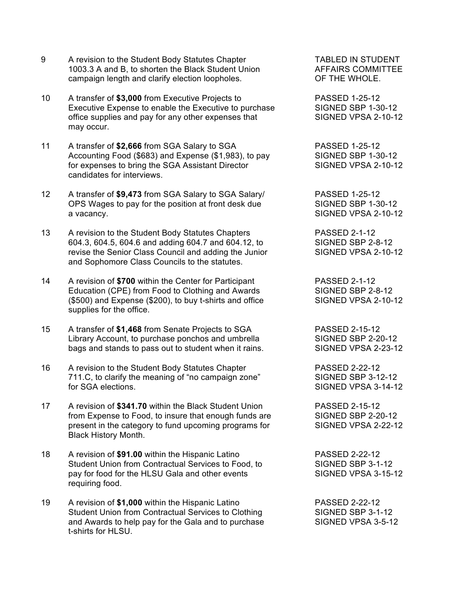- 9 A revision to the Student Body Statutes Chapter TABLED IN STUDENT 1003.3 A and B, to shorten the Black Student Union AFFAIRS COMMITTEE campaign length and clarify election loopholes. OF THE WHOLE.
- 10 A transfer of **\$3,000** from Executive Projects to PASSED 1-25-12 Executive Expense to enable the Executive to purchase SIGNED SBP 1-30-12 office supplies and pay for any other expenses that SIGNED VPSA 2-10-12 may occur.
- 11 A transfer of **\$2,666** from SGA Salary to SGA PASSED 1-25-12 Accounting Food (\$683) and Expense (\$1,983), to pay SIGNED SBP 1-30-12 for expenses to bring the SGA Assistant Director SIGNED VPSA 2-10-12 candidates for interviews.
- 12 A transfer of **\$9,473** from SGA Salary to SGA Salary/ PASSED 1-25-12 OPS Wages to pay for the position at front desk due SIGNED SBP 1-30-12 a vacancy. **SIGNED VPSA 2-10-12**
- 13 A revision to the Student Body Statutes Chapters PASSED 2-1-12 604.3, 604.5, 604.6 and adding 604.7 and 604.12, to SIGNED SBP 2-8-12 revise the Senior Class Council and adding the Junior SIGNED VPSA 2-10-12 and Sophomore Class Councils to the statutes.
- 14 A revision of **\$700** within the Center for Participant PASSED 2-1-12 Education (CPE) from Food to Clothing and Awards SIGNED SBP 2-8-12 (\$500) and Expense (\$200), to buy t-shirts and office SIGNED VPSA 2-10-12 supplies for the office.
- 15 A transfer of **\$1,468** from Senate Projects to SGA PASSED 2-15-12 Library Account, to purchase ponchos and umbrella SIGNED SBP 2-20-12 bags and stands to pass out to student when it rains. SIGNED VPSA 2-23-12
- 16 A revision to the Student Body Statutes Chapter **PASSED** 2-22-12 711.C, to clarify the meaning of "no campaign zone" SIGNED SBP 3-12-12 for SGA elections. The state of the SIGNED VPSA 3-14-12
- 17 A revision of **\$341.70** within the Black Student Union PASSED 2-15-12 from Expense to Food, to insure that enough funds are SIGNED SBP 2-20-12 present in the category to fund upcoming programs for SIGNED VPSA 2-22-12 Black History Month.
- 18 A revision of **\$91.00** within the Hispanic Latino PASSED 2-22-12 Student Union from Contractual Services to Food, to SIGNED SBP 3-1-12 pay for food for the HLSU Gala and other events SIGNED VPSA 3-15-12 requiring food.
- 19 A revision of **\$1,000** within the Hispanic Latino PASSED 2-22-12 Student Union from Contractual Services to Clothing SIGNED SBP 3-1-12 and Awards to help pay for the Gala and to purchase SIGNED VPSA 3-5-12 t-shirts for HLSU.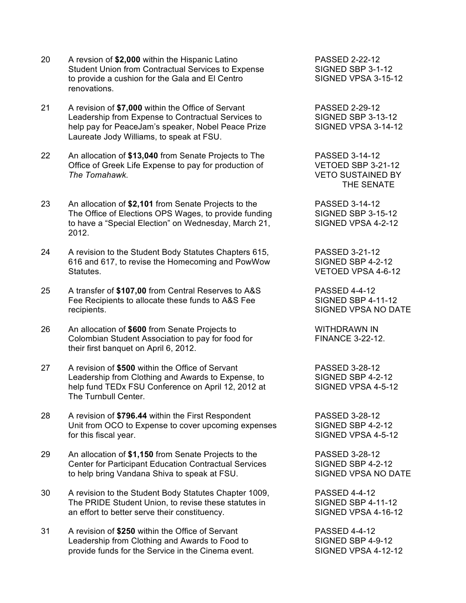- 20 A revsion of **\$2,000** within the Hispanic Latino PASSED 2-22-12 Student Union from Contractual Services to Expense SIGNED SBP 3-1-12 to provide a cushion for the Gala and El Centro Summan SIGNED VPSA 3-15-12 renovations.
- 21 A revision of **\$7,000** within the Office of Servant PASSED 2-29-12 Leadership from Expense to Contractual Services to SIGNED SBP 3-13-12 help pay for PeaceJam's speaker, Nobel Peace Prize SIGNED VPSA 3-14-12 Laureate Jody Williams, to speak at FSU.
- 22 An allocation of **\$13,040** from Senate Projects to The PASSED 3-14-12 Office of Greek Life Expense to pay for production of VETOED SBP 3-21-12 *The Tomahawk.* VETO SUSTAINED BY
- 23 An allocation of **\$2,101** from Senate Projects to the PASSED 3-14-12 The Office of Elections OPS Wages, to provide funding SIGNED SBP 3-15-12 to have a "Special Election" on Wednesday, March 21, SIGNED VPSA 4-2-12 2012.
- 24 A revision to the Student Body Statutes Chapters 615, PASSED 3-21-12 616 and 617, to revise the Homecoming and PowWow SIGNED SBP 4-2-12 Statutes. VETOED VPSA 4-6-12
- 25 A transfer of **\$107,00** from Central Reserves to A&S PASSED 4-4-12 Fee Recipients to allocate these funds to A&S Fee SIGNED SBP 4-11-12 recipients. The contract of the state of the state of the SIGNED VPSA NO DATE
- 26 An allocation of \$600 from Senate Projects to WITHDRAWN IN Colombian Student Association to pay for food for FINANCE 3-22-12. their first banquet on April 6, 2012.
- 27 A revision of **\$500** within the Office of Servant PASSED 3-28-12 Leadership from Clothing and Awards to Expense, to SIGNED SBP 4-2-12 help fund TEDx FSU Conference on April 12, 2012 at SIGNED VPSA 4-5-12 The Turnbull Center.
- 28 A revision of **\$796.44** within the First Respondent PASSED 3-28-12 Unit from OCO to Expense to cover upcoming expenses SIGNED SBP 4-2-12 for this fiscal year. The state of the state of the SIGNED VPSA 4-5-12
- 29 An allocation of **\$1,150** from Senate Projects to the PASSED 3-28-12 Center for Participant Education Contractual Services SIGNED SBP 4-2-12 to help bring Vandana Shiva to speak at FSU. SIGNED VPSA NO DATE
- 30 A revision to the Student Body Statutes Chapter 1009, PASSED 4-4-12<br>The PRIDE Student Union. to revise these statutes in SIGNED SBP 4-11-12 The PRIDE Student Union, to revise these statutes in an effort to better serve their constituency. SIGNED VPSA 4-16-12
- 31 A revision of **\$250** within the Office of Servant PASSED 4-4-12 Leadership from Clothing and Awards to Food to SIGNED SBP 4-9-12 provide funds for the Service in the Cinema event. SIGNED VPSA 4-12-12

THE SENATE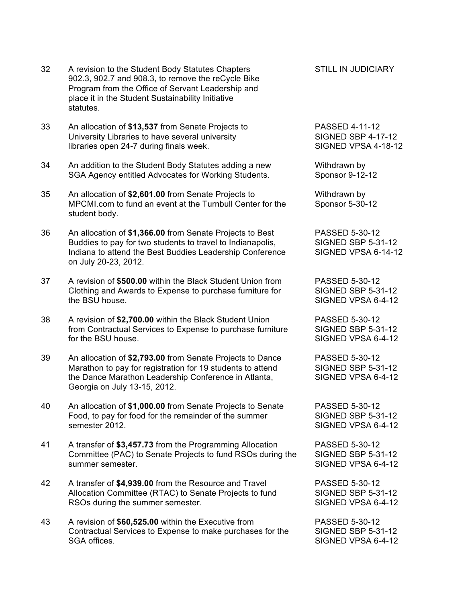- 32 A revision to the Student Body Statutes Chapters STILL IN JUDICIARY 902.3, 902.7 and 908.3, to remove the reCycle Bike Program from the Office of Servant Leadership and place it in the Student Sustainability Initiative statutes.
- 33 An allocation of **\$13,537** from Senate Projects to PASSED 4-11-12 University Libraries to have several university SIGNED SBP 4-17-12 libraries open 24-7 during finals week. SIGNED VPSA 4-18-12
- 34 An addition to the Student Body Statutes adding a new Withdrawn by SGA Agency entitled Advocates for Working Students. Sponsor 9-12-12
- 35 An allocation of **\$2,601.00** from Senate Projects to Withdrawn by MPCMI.com to fund an event at the Turnbull Center for the Sponsor 5-30-12 student body.
- 36 An allocation of **\$1,366.00** from Senate Projects to Best PASSED 5-30-12 Buddies to pay for two students to travel to Indianapolis, SIGNED SBP 5-31-12 Indiana to attend the Best Buddies Leadership Conference SIGNED VPSA 6-14-12 on July 20-23, 2012.
- 37 A revision of **\$500.00** within the Black Student Union from PASSED 5-30-12 Clothing and Awards to Expense to purchase furniture for SIGNED SBP 5-31-12 the BSU house. SIGNED VPSA 6-4-12
- 38 A revision of **\$2,700.00** within the Black Student Union PASSED 5-30-12 from Contractual Services to Expense to purchase furniture SIGNED SBP 5-31-12<br>for the BSU house. SIGNED VPSA 6-4-12
- 39 An allocation of **\$2,793.00** from Senate Projects to Dance PASSED 5-30-12 Marathon to pay for registration for 19 students to attend SIGNED SBP 5-31-12 the Dance Marathon Leadership Conference in Atlanta, SIGNED VPSA 6-4-12 Georgia on July 13-15, 2012.
- 40 An allocation of **\$1,000.00** from Senate Projects to Senate PASSED 5-30-12 Food, to pay for food for the remainder of the summer SIGNED SBP 5-31-12 semester 2012. SIGNED VPSA 6-4-12
- 41 A transfer of **\$3,457.73** from the Programming Allocation PASSED 5-30-12 Committee (PAC) to Senate Projects to fund RSOs during the SIGNED SBP 5-31-12 summer semester. SIGNED VPSA 6-4-12
- 42 A transfer of **\$4,939.00** from the Resource and Travel PASSED 5-30-12 Allocation Committee (RTAC) to Senate Projects to fund SIGNED SBP 5-31-12 RSOs during the summer semester. The state of the SIGNED VPSA 6-4-12
- 43 A revision of **\$60,525.00** within the Executive from PASSED 5-30-12 Contractual Services to Expense to make purchases for the SIGNED SBP 5-31-12 SGA offices. SIGNED VPSA 6-4-12

SIGNED VPSA 6-4-12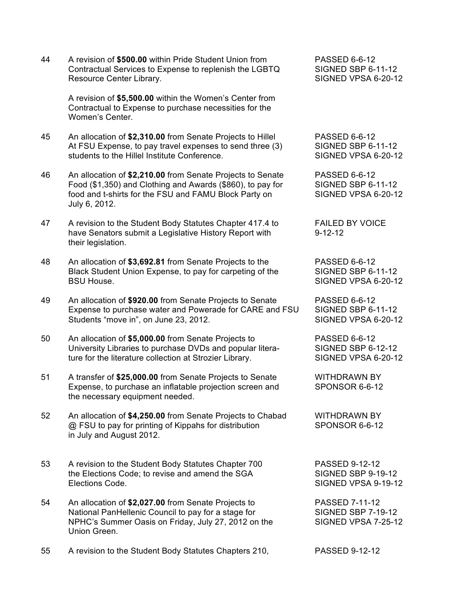44 A revision of **\$500.00** within Pride Student Union from PASSED 6-6-12 Contractual Services to Expense to replenish the LGBTQ SIGNED SBP 6-11-12 Resource Center Library. The SIGNED VPSA 6-20-12

A revision of **\$5,500.00** within the Women's Center from Contractual to Expense to purchase necessities for the Women's Center.

- 45 An allocation of **\$2,310.00** from Senate Projects to Hillel PASSED 6-6-12 At FSU Expense, to pay travel expenses to send three (3) SIGNED SBP 6-11-12 students to the Hillel Institute Conference. The SIGNED VPSA 6-20-12
- 46 An allocation of **\$2,210.00** from Senate Projects to Senate PASSED 6-6-12<br>Food (\$1.350) and Clothing and Awards (\$860), to pay for SIGNED SBP 6-11-12 Food  $($1,350)$  and Clothing and Awards  $($860)$ , to pay for food and t-shirts for the FSU and FAMU Block Party on SIGNED VPSA 6-20-12 July 6, 2012.
- 47 A revision to the Student Body Statutes Chapter 417.4 to FAILED BY VOICE have Senators submit a Legislative History Report with 9-12-12 their legislation.
- 48 An allocation of **\$3,692.81** from Senate Projects to the PASSED 6-6-12 Black Student Union Expense, to pay for carpeting of the SIGNED SBP 6-11-12 BSU House. SIGNED VPSA 6-20-12
- 49 An allocation of **\$920.00** from Senate Projects to Senate PASSED 6-6-12 Expense to purchase water and Powerade for CARE and FSU SIGNED SBP 6-11-12 Students "move in", on June 23, 2012. Notice that the SIGNED VPSA 6-20-12
- 50 An allocation of **\$5,000.00** from Senate Projects to PASSED 6-6-12 University Libraries to purchase DVDs and popular litera- SIGNED SBP 6-12-12 ture for the literature collection at Strozier Library. SIGNED VPSA 6-20-12
- 51 A transfer of **\$25,000.00** from Senate Projects to Senate WITHDRAWN BY Expense, to purchase an inflatable projection screen and SPONSOR 6-6-12 the necessary equipment needed.
- 52 An allocation of **\$4,250.00** from Senate Projects to Chabad WITHDRAWN BY @ FSU to pay for printing of Kippahs for distribution SPONSOR 6-6-12 in July and August 2012.
- 53 A revision to the Student Body Statutes Chapter 700 PASSED 9-12-12 the Elections Code; to revise and amend the SGA SIGNED SBP 9-19-12 Elections Code. SIGNED VPSA 9-19-12
- 54 An allocation of **\$2,027.00** from Senate Projects to PASSED 7-11-12 National PanHellenic Council to pay for a stage for SIGNED SBP 7-19-12 NPHC's Summer Oasis on Friday, July 27, 2012 on the SIGNED VPSA 7-25-12 Union Green.
- 55 A revision to the Student Body Statutes Chapters 210, PASSED 9-12-12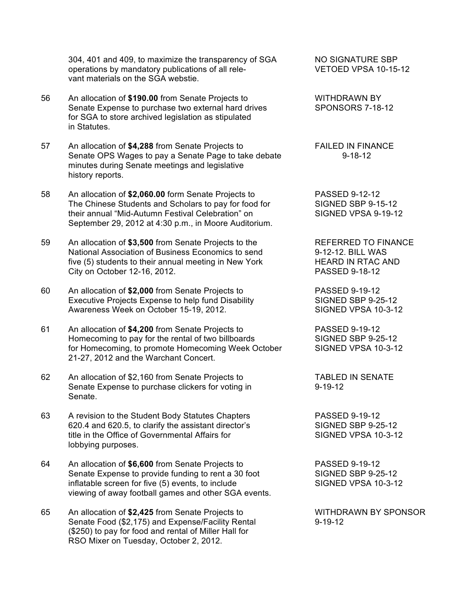304, 401 and 409, to maximize the transparency of SGA NO SIGNATURE SBP operations by mandatory publications of all rele- VETOED VPSA 10-15-12 vant materials on the SGA webstie.

- 56 An allocation of **\$190.00** from Senate Projects to WITHDRAWN BY Senate Expense to purchase two external hard drives SPONSORS 7-18-12 for SGA to store archived legislation as stipulated in Statutes.
- 57 An allocation of \$4,288 from Senate Projects to FAILED IN FINANCE Senate OPS Wages to pay a Senate Page to take debate 9-18-12 minutes during Senate meetings and legislative history reports.
- 58 An allocation of **\$2,060.00** form Senate Projects to PASSED 9-12-12<br>The Chinese Students and Scholars to pay for food for SIGNED SBP 9-15-12 The Chinese Students and Scholars to pay for food for their annual "Mid-Autumn Festival Celebration" on SIGNED VPSA 9-19-12 September 29, 2012 at 4:30 p.m., in Moore Auditorium.
- 59 An allocation of **\$3,500** from Senate Projects to the REFERRED TO FINANCE National Association of Business Economics to send 9-12-12. BILL WAS five (5) students to their annual meeting in New York HEARD IN RTAC AND City on October 12-16, 2012. PASSED 9-18-12
- 60 An allocation of **\$2,000** from Senate Projects to PASSED 9-19-12 Executive Projects Expense to help fund Disability SIGNED SBP 9-25-12 Awareness Week on October 15-19, 2012. SIGNED VPSA 10-3-12
- 61 An allocation of **\$4,200** from Senate Projects to PASSED 9-19-12 Homecoming to pay for the rental of two billboards SIGNED SBP 9-25-12 for Homecoming, to promote Homecoming Week October SIGNED VPSA 10-3-12 21-27, 2012 and the Warchant Concert.
- 62 An allocation of \$2,160 from Senate Projects to TABLED IN SENATE Senate Expense to purchase clickers for voting in 9-19-12 Senate.
- 63 A revision to the Student Body Statutes Chapters PASSED 9-19-12 620.4 and 620.5, to clarify the assistant director's SIGNED SBP 9-25-12 title in the Office of Governmental Affairs for SIGNED VPSA 10-3-12 lobbying purposes.
- 64 An allocation of **\$6,600** from Senate Projects to PASSED 9-19-12 Senate Expense to provide funding to rent a 30 foot SIGNED SBP 9-25-12 inflatable screen for five (5) events, to include SIGNED VPSA 10-3-12 viewing of away football games and other SGA events.
- 65 An allocation of **\$2,425** from Senate Projects to WITHDRAWN BY SPONSOR Senate Food (\$2,175) and Expense/Facility Rental 9-19-12 (\$250) to pay for food and rental of Miller Hall for RSO Mixer on Tuesday, October 2, 2012.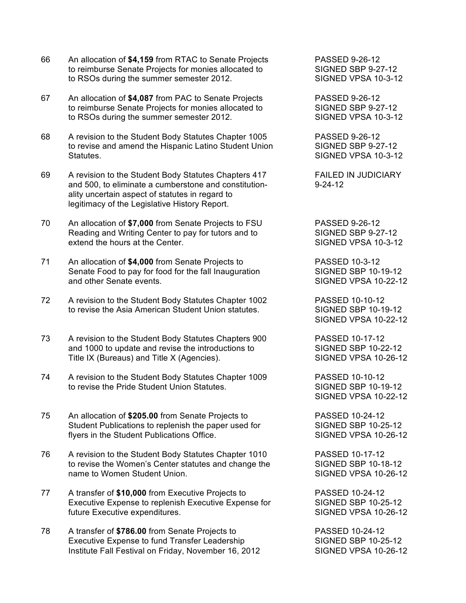- 66 An allocation of **\$4,159** from RTAC to Senate Projects PASSED 9-26-12 to reimburse Senate Projects for monies allocated to SIGNED SBP 9-27-12 to RSOs during the summer semester 2012. SIGNED VPSA 10-3-12
- 67 An allocation of **\$4,087** from PAC to Senate Projects PASSED 9-26-12 to reimburse Senate Projects for monies allocated to SIGNED SBP 9-27-12 to RSOs during the summer semester 2012. SIGNED VPSA 10-3-12
- 68 A revision to the Student Body Statutes Chapter 1005 PASSED 9-26-12 to revise and amend the Hispanic Latino Student Union SIGNED SBP 9-27-12 Statutes. SIGNED VPSA 10-3-12
- 69 A revision to the Student Body Statutes Chapters 417 FAILED IN JUDICIARY and 500, to eliminate a cumberstone and constitution-<br>9-24-12 ality uncertain aspect of statutes in regard to legitimacy of the Legislative History Report.
- 70 An allocation of **\$7,000** from Senate Projects to FSU PASSED 9-26-12 Reading and Writing Center to pay for tutors and to SIGNED SBP 9-27-12 extend the hours at the Center. The state of the SIGNED VPSA 10-3-12
- 71 An allocation of **\$4,000** from Senate Projects to PASSED 10-3-12 Senate Food to pay for food for the fall Inauguration SIGNED SBP 10-19-12 and other Senate events. The state of the SIGNED VPSA 10-22-12
- 72 A revision to the Student Body Statutes Chapter 1002 PASSED 10-10-12 to revise the Asia American Student Union statutes. SIGNED SBP 10-19-12
- 73 A revision to the Student Body Statutes Chapters 900 PASSED 10-17-12 and 1000 to update and revise the introductions to SIGNED SBP 10-22-12 Title IX (Bureaus) and Title X (Agencies). SIGNED VPSA 10-26-12
- 74 A revision to the Student Body Statutes Chapter 1009 PASSED 10-10-12 to revise the Pride Student Union Statutes. The SIGNED SBP 10-19-12
- 75 An allocation of **\$205.00** from Senate Projects to PASSED 10-24-12 Student Publications to replenish the paper used for SIGNED SBP 10-25-12 flyers in the Student Publications Office. SIGNED VPSA 10-26-12
- 76 A revision to the Student Body Statutes Chapter 1010 PASSED 10-17-12 to revise the Women's Center statutes and change the SIGNED SBP 10-18-12 name to Women Student Union. The Student Student Student Students Students Students Students Students Students
- 77 A transfer of \$10,000 from Executive Projects to **PASSED 10-24-12**<br>Executive Expense to replenish Executive Expense for SIGNED SBP 10-25-12 Executive Expense to replenish Executive Expense for future Executive expenditures.  $\overline{\phantom{0}}$  signals and SIGNED VPSA 10-26-12
- 78 A transfer of **\$786.00** from Senate Projects to PASSED 10-24-12<br>Executive Expense to fund Transfer Leadership SIGNED SBP 10-25-12 Executive Expense to fund Transfer Leadership Institute Fall Festival on Friday, November 16, 2012 SIGNED VPSA 10-26-12

SIGNED VPSA 10-22-12

SIGNED VPSA 10-22-12